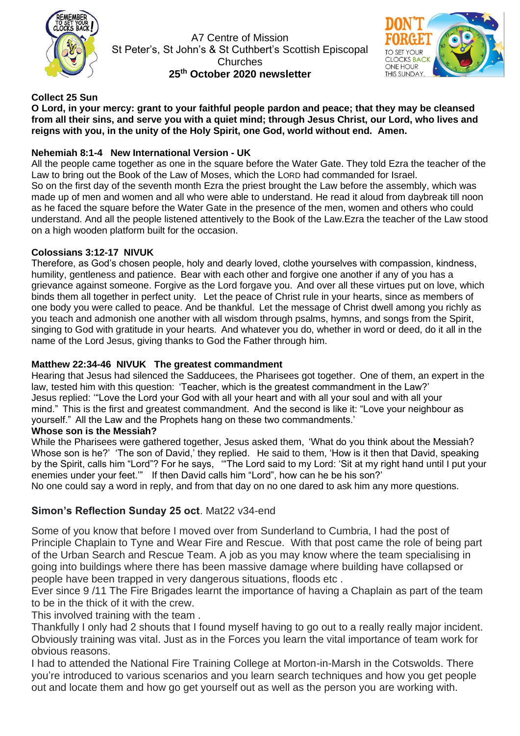

A7 Centre of Mission St Peter's, St John's & St Cuthbert's Scottish Episcopal **Churches** 

**25th October 2020 newsletter**



# **Collect 25 Sun**

**O Lord, in your mercy: grant to your faithful people pardon and peace; that they may be cleansed from all their sins, and serve you with a quiet mind; through Jesus Christ, our Lord, who lives and reigns with you, in the unity of the Holy Spirit, one God, world without end. Amen.**

# **Nehemiah 8:1-4 New International Version - UK**

All the people came together as one in the square before the Water Gate. They told Ezra the teacher of the Law to bring out the Book of the Law of Moses, which the LORD had commanded for Israel. So on the first day of the seventh month Ezra the priest brought the Law before the assembly, which was made up of men and women and all who were able to understand. He read it aloud from daybreak till noon as he faced the square before the Water Gate in the presence of the men, women and others who could understand. And all the people listened attentively to the Book of the Law.Ezra the teacher of the Law stood on a high wooden platform built for the occasion.

### **Colossians 3:12-17 NIVUK**

Therefore, as God's chosen people, holy and dearly loved, clothe yourselves with compassion, kindness, humility, gentleness and patience. Bear with each other and forgive one another if any of you has a grievance against someone. Forgive as the Lord forgave you. And over all these virtues put on love, which binds them all together in perfect unity. Let the peace of Christ rule in your hearts, since as members of one body you were called to peace. And be thankful. Let the message of Christ dwell among you richly as you teach and admonish one another with all wisdom through psalms, hymns, and songs from the Spirit, singing to God with gratitude in your hearts. And whatever you do, whether in word or deed, do it all in the name of the Lord Jesus, giving thanks to God the Father through him.

# **Matthew 22:34-46 NIVUK The greatest commandment**

Hearing that Jesus had silenced the Sadducees, the Pharisees got together. One of them, an expert in the law, tested him with this question: 'Teacher, which is the greatest commandment in the Law?' Jesus replied: '"Love the Lord your God with all your heart and with all your soul and with all your mind." This is the first and greatest commandment. And the second is like it: "Love your neighbour as yourself." All the Law and the Prophets hang on these two commandments.'

### **Whose son is the Messiah?**

While the Pharisees were gathered together, Jesus asked them, 'What do you think about the Messiah? Whose son is he?' 'The son of David,' they replied. He said to them, 'How is it then that David, speaking by the Spirit, calls him "Lord"? For he says, '"The Lord said to my Lord: 'Sit at my right hand until I put your enemies under your feet.'" If then David calls him "Lord", how can he be his son?' No one could say a word in reply, and from that day on no one dared to ask him any more questions.

# **Simon's Reflection Sunday 25 oct**. Mat22 v34-end

Some of you know that before I moved over from Sunderland to Cumbria, I had the post of Principle Chaplain to Tyne and Wear Fire and Rescue. With that post came the role of being part of the Urban Search and Rescue Team. A job as you may know where the team specialising in going into buildings where there has been massive damage where building have collapsed or people have been trapped in very dangerous situations, floods etc .

Ever since 9 /11 The Fire Brigades learnt the importance of having a Chaplain as part of the team to be in the thick of it with the crew.

This involved training with the team .

Thankfully I only had 2 shouts that I found myself having to go out to a really really major incident. Obviously training was vital. Just as in the Forces you learn the vital importance of team work for obvious reasons.

I had to attended the National Fire Training College at Morton-in-Marsh in the Cotswolds. There you're introduced to various scenarios and you learn search techniques and how you get people out and locate them and how go get yourself out as well as the person you are working with.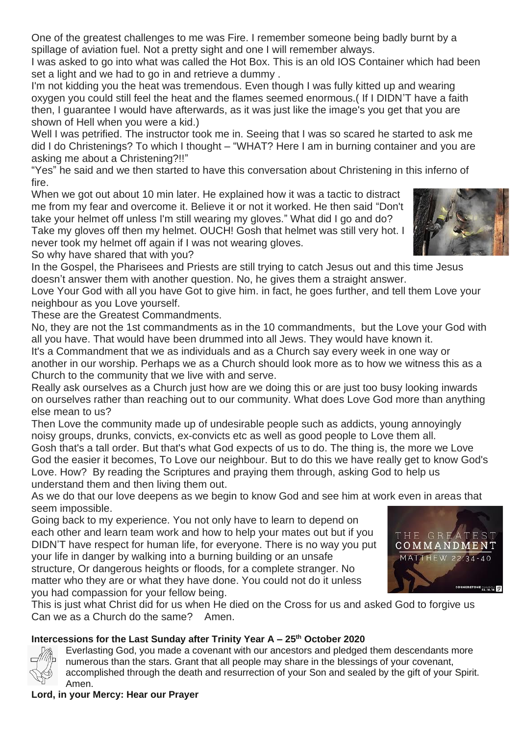**Lord, in your Mercy: Hear our Prayer**

One of the greatest challenges to me was Fire. I remember someone being badly burnt by a spillage of aviation fuel. Not a pretty sight and one I will remember always.

I was asked to go into what was called the Hot Box. This is an old IOS Container which had been set a light and we had to go in and retrieve a dummy.

I'm not kidding you the heat was tremendous. Even though I was fully kitted up and wearing oxygen you could still feel the heat and the flames seemed enormous.( If I DIDN'T have a faith then, I guarantee I would have afterwards, as it was just like the image's you get that you are shown of Hell when you were a kid.)

Well I was petrified. The instructor took me in. Seeing that I was so scared he started to ask me did I do Christenings? To which I thought – "WHAT? Here I am in burning container and you are asking me about a Christening?!!"

"Yes" he said and we then started to have this conversation about Christening in this inferno of fire.

When we got out about 10 min later. He explained how it was a tactic to distract me from my fear and overcome it. Believe it or not it worked. He then said "Don't take your helmet off unless I'm still wearing my gloves." What did I go and do? Take my gloves off then my helmet. OUCH! Gosh that helmet was still very hot. I never took my helmet off again if I was not wearing gloves.

So why have shared that with you?

In the Gospel, the Pharisees and Priests are still trying to catch Jesus out and this time Jesus doesn't answer them with another question. No, he gives them a straight answer.

Love Your God with all you have Got to give him. in fact, he goes further, and tell them Love your neighbour as you Love yourself.

These are the Greatest Commandments.

No, they are not the 1st commandments as in the 10 commandments, but the Love your God with all you have. That would have been drummed into all Jews. They would have known it.

It's a Commandment that we as individuals and as a Church say every week in one way or another in our worship. Perhaps we as a Church should look more as to how we witness this as a Church to the community that we live with and serve.

Really ask ourselves as a Church just how are we doing this or are just too busy looking inwards on ourselves rather than reaching out to our community. What does Love God more than anything else mean to us?

Then Love the community made up of undesirable people such as addicts, young annoyingly noisy groups, drunks, convicts, ex-convicts etc as well as good people to Love them all. Gosh that's a tall order. But that's what God expects of us to do. The thing is, the more we Love God the easier it becomes, To Love our neighbour. But to do this we have really get to know God's

Love. How? By reading the Scriptures and praying them through, asking God to help us understand them and then living them out.

As we do that our love deepens as we begin to know God and see him at work even in areas that seem impossible.

Going back to my experience. You not only have to learn to depend on each other and learn team work and how to help your mates out but if you DIDN'T have respect for human life, for everyone. There is no way you put your life in danger by walking into a burning building or an unsafe structure, Or dangerous heights or floods, for a complete stranger. No matter who they are or what they have done. You could not do it unless you had compassion for your fellow being.

This is just what Christ did for us when He died on the Cross for us and asked God to forgive us Can we as a Church do the same? Amen.

numerous than the stars. Grant that all people may share in the blessings of your covenant, accomplished through the death and resurrection of your Son and sealed by the gift of your Spirit.

#### **Intercessions for the Last Sunday after Trinity Year A – 25th October 2020** Everlasting God, you made a covenant with our ancestors and pledged them descendants more

Amen.



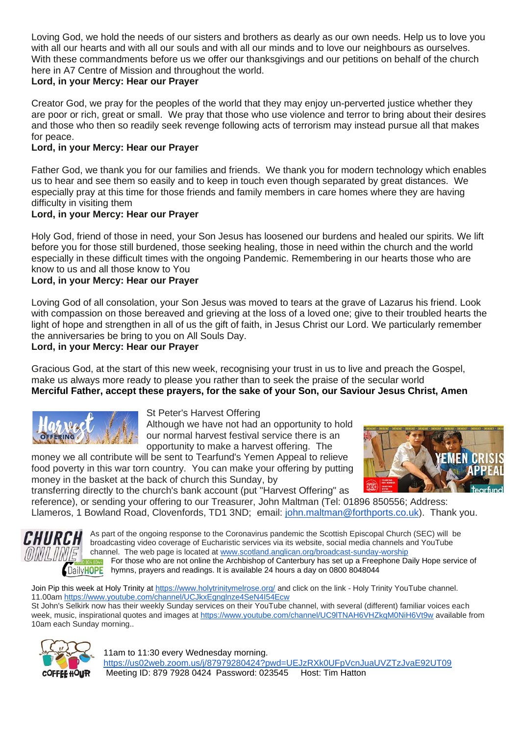Loving God, we hold the needs of our sisters and brothers as dearly as our own needs. Help us to love you with all our hearts and with all our souls and with all our minds and to love our neighbours as ourselves. With these commandments before us we offer our thanksgivings and our petitions on behalf of the church here in A7 Centre of Mission and throughout the world.

### **Lord, in your Mercy: Hear our Prayer**

Creator God, we pray for the peoples of the world that they may enjoy un-perverted justice whether they are poor or rich, great or small. We pray that those who use violence and terror to bring about their desires and those who then so readily seek revenge following acts of terrorism may instead pursue all that makes for peace.

# **Lord, in your Mercy: Hear our Prayer**

Father God, we thank you for our families and friends. We thank you for modern technology which enables us to hear and see them so easily and to keep in touch even though separated by great distances. We especially pray at this time for those friends and family members in care homes where they are having difficulty in visiting them

# **Lord, in your Mercy: Hear our Prayer**

Holy God, friend of those in need, your Son Jesus has loosened our burdens and healed our spirits. We lift before you for those still burdened, those seeking healing, those in need within the church and the world especially in these difficult times with the ongoing Pandemic. Remembering in our hearts those who are know to us and all those know to You

# **Lord, in your Mercy: Hear our Prayer**

Loving God of all consolation, your Son Jesus was moved to tears at the grave of Lazarus his friend. Look with compassion on those bereaved and grieving at the loss of a loved one; give to their troubled hearts the light of hope and strengthen in all of us the gift of faith, in Jesus Christ our Lord. We particularly remember the anniversaries be bring to you on All Souls Day.

### **Lord, in your Mercy: Hear our Prayer**

Gracious God, at the start of this new week, recognising your trust in us to live and preach the Gospel, make us always more ready to please you rather than to seek the praise of the secular world **Merciful Father, accept these prayers, for the sake of your Son, our Saviour Jesus Christ, Amen**



### St Peter's Harvest Offering

Although we have not had an opportunity to hold our normal harvest festival service there is an opportunity to make a harvest offering. The

money we all contribute will be sent to Tearfund's Yemen Appeal to relieve food poverty in this war torn country. You can make your offering by putting money in the basket at the back of church this Sunday, by



transferring directly to the church's bank account (put "Harvest Offering" as reference), or sending your offering to our Treasurer, John Maltman (Tel: 01896 850556; Address: Llameros, 1 Bowland Road, Clovenfords, TD1 3ND; email: [john.maltman@forthports.co.uk\)](mailto:john.maltman@forthports.co.uk). Thank you.



As part of the ongoing response to the Coronavirus pandemic the Scottish Episcopal Church (SEC) will be broadcasting video coverage of Eucharistic services via its website, social media channels and YouTube channel. The web page is located at [www.scotland.anglican.org/broadcast-sunday-worship](http://www.scotland.anglican.org/broadcast-sunday-worship) **F8044** For those who are not online the Archbishop of Canterbury has set up a Freephone Daily Hope service of DailyHOPE hymns, prayers and readings. It is available 24 hours a day on 0800 8048044

Join Pip this week at Holy Trinity at<https://www.holytrinitymelrose.org/> and click on the link - Holy Trinity YouTube channel. 11.00a[m https://www.youtube.com/channel/UCJkxEgnglnze4SeN4I54Ecw](https://www.youtube.com/channel/UCJkxEgnglnze4SeN4I54Ecw) 

St John's Selkirk now has their weekly Sunday services on their YouTube channel, with several (different) familiar voices each week, music, inspirational quotes and images at <https://www.youtube.com/channel/UC9lTNAH6VHZkqM0NiH6Vt9w> available from 10am each Sunday morning..



11am to 11:30 every Wednesday morning. <https://us02web.zoom.us/j/87979280424?pwd=UEJzRXk0UFpVcnJuaUVZTzJvaE92UT09> Meeting ID: 879 7928 0424 Password: 023545 Host: Tim Hatton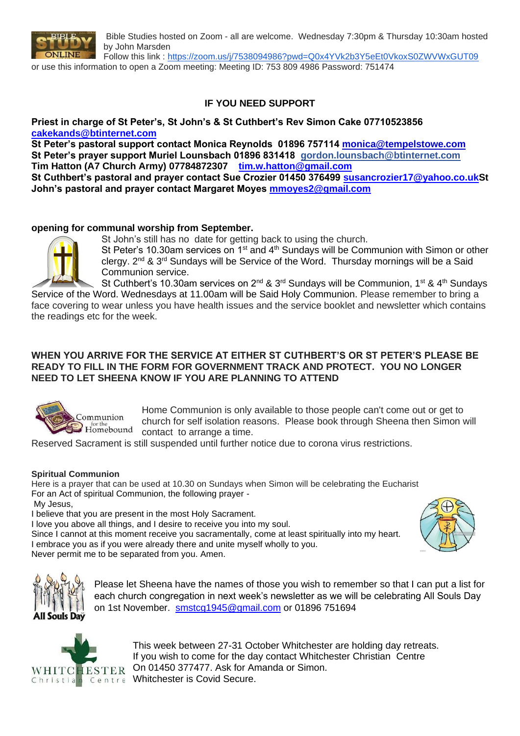

Bible Studies hosted on Zoom - all are welcome. Wednesday 7:30pm & Thursday 10:30am hosted by John Marsden

Follow this link : <https://zoom.us/j/7538094986?pwd=Q0x4YVk2b3Y5eEt0VkoxS0ZWVWxGUT09>

or use this information to open a Zoom meeting: Meeting ID: 753 809 4986 Password: 751474

# **IF YOU NEED SUPPORT**

#### **Priest in charge of St Peter's, St John's & St Cuthbert's Rev Simon Cake 07710523856 [cakekands@btinternet.com](mailto:cakekands@btinternet.com)**

**St Peter's pastoral support contact Monica Reynolds 01896 757114 [monica@tempelstowe.com](mailto:monica@tempelstowe.com) St Peter's prayer support Muriel Lounsbach 01896 831418 gordon.lounsbach@btinternet.com Tim Hatton (A7 Church Army) 07784872307 [tim.w.hatton@gmail.com](mailto:tim.w.hutton@gmail.com) St Cuthbert's pastoral and prayer contact Sue Crozier 01450 376499 [susancrozier17@yahoo.co.ukS](mailto:susancrozier17@yahoo.co.uk)t John's pastoral and prayer contact Margaret Moyes [mmoyes2@gmail.com](mailto:mmoyes2@gmail.com)**

### **opening for communal worship from September.**



St John's still has no date for getting back to using the church.

St Peter's 10.30am services on  $1<sup>st</sup>$  and  $4<sup>th</sup>$  Sundays will be Communion with Simon or other clergy. 2<sup>nd</sup> & 3<sup>rd</sup> Sundays will be Service of the Word. Thursday mornings will be a Said Communion service.

St Cuthbert's 10.30am services on  $2^{nd}$  &  $3^{rd}$  Sundays will be Communion, 1<sup>st</sup> & 4<sup>th</sup> Sundays Service of the Word. Wednesdays at 11.00am will be Said Holy Communion. Please remember to bring a face covering to wear unless you have health issues and the service booklet and newsletter which contains the readings etc for the week.

#### **WHEN YOU ARRIVE FOR THE SERVICE AT EITHER ST CUTHBERT'S OR ST PETER'S PLEASE BE READY TO FILL IN THE FORM FOR GOVERNMENT TRACK AND PROTECT. YOU NO LONGER NEED TO LET SHEENA KNOW IF YOU ARE PLANNING TO ATTEND**



Home Communion is only available to those people can't come out or get to church for self isolation reasons. Please book through Sheena then Simon will contact to arrange a time.

Reserved Sacrament is still suspended until further notice due to corona virus restrictions.

#### **Spiritual Communion**

Here is a prayer that can be used at 10.30 on Sundays when Simon will be celebrating the Eucharist For an Act of spiritual Communion, the following prayer -

My Jesus,

I believe that you are present in the most Holy Sacrament.

I love you above all things, and I desire to receive you into my soul.

Since I cannot at this moment receive you sacramentally, come at least spiritually into my heart.

I embrace you as if you were already there and unite myself wholly to you.

Never permit me to be separated from you. Amen.



Please let Sheena have the names of those you wish to remember so that I can put a list for each church congregation in next week's newsletter as we will be celebrating All Souls Day on 1st November. [smstcg1945@gmail.com](mailto:smstcg1945@gmail.com) or 01896 751694



This week between 27-31 October Whitchester are holding day retreats. If you wish to come for the day contact Whitchester Christian Centre On 01450 377477. Ask for Amanda or Simon. Christian Centre Whitchester is Covid Secure.

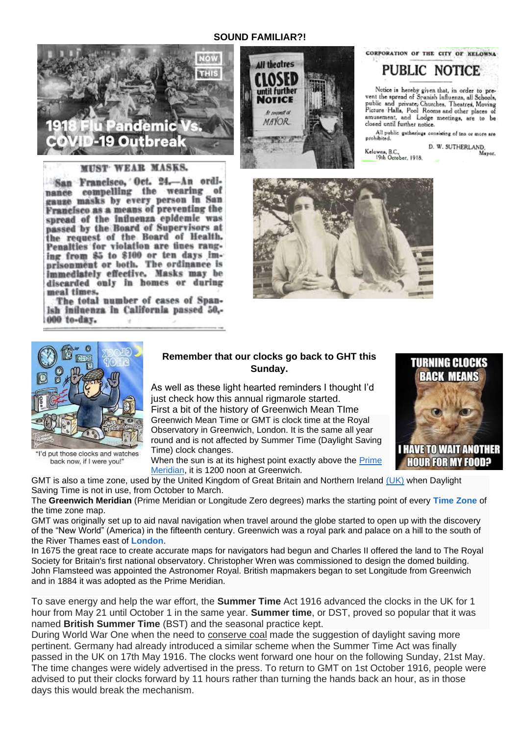#### **SOUND FAMILIAR?!**



#### MUST WEAR MASKS.

San Francisco, Oct. 24. An ordinance compelling the wearing of<br>gauze masks by every person in San<br>Francisco as a means of preventing the spread of the influenza epidemic was passed by the Board of Supervisors at the request of the Board of Health. Penalties for violation are tines ranging from \$5 to \$100 or ten days imprisonment or both. The ordinance is Immediately effective. Masks may be discarded only in homes or during meal times.

The total number of cases of Spanish iniluenza in California passed 50,-000 to-day.



# CORPORATION OF THE CITY OF KELOWNA-PUBLIC NOTICE

Notice is hereby given that, in order to prevent the spread of Spanish Influenza, all Schools, public and private, Churches, Theatres, Moving Picture Halls, Pool Rooms and other places of amusement, and Lodge meetings, are to be

All public gatherings consisting of ten or more are<br>prohibited.

D. W. SUTHERLAND, Kelowna, B.C.,<br>19th October, 1918.







"I'd put those clocks and watches back now, if I were you!'

#### **Remember that our clocks go back to GHT this Sunday.**

As well as these light hearted reminders I thought I'd just check how this annual rigmarole started. First a bit of the history of Greenwich Mean TIme Greenwich Mean Time or GMT is clock time at the Royal Observatory in Greenwich, London. It is the same all year round and is not affected by Summer Time (Daylight Saving Time) clock changes.

**BACK MEANS HAVE TO WAIT ANOTHER HOUR FOR MY FOOD?** 

**TURNING CLOCKS** 

When the sun is at its highest point exactly above the **Prime** [Meridian,](https://greenwichmeantime.com/articles/history/prime-meridian/) it is 1200 noon at Greenwich.

GMT is also a time zone, used by the United Kingdom of Great Britain and Northern Ireland [\(UK\)](https://greenwichmeantime.com/uk/time/) when Daylight Saving Time is not in use, from October to March.

The **Greenwich Meridian** (Prime Meridian or Longitude Zero degrees) marks the starting point of every **[Time Zone](https://greenwichmeantime.com/time-zone/)** of the time zone map.

GMT was originally set up to aid naval navigation when travel around the globe started to open up with the discovery of the "New World" (America) in the fifteenth century. Greenwich was a royal park and palace on a hill to the south of the River Thames east of **[London](https://greenwichmeantime.com/uk/london/time/)**.

In 1675 the great race to create accurate maps for navigators had begun and Charles II offered the land to The Royal Society for Britain's first national observatory. Christopher Wren was commissioned to design the domed building. John Flamsteed was appointed the Astronomer Royal. British mapmakers began to set Longitude from Greenwich and in 1884 it was adopted as the Prime Meridian.

To save energy and help the war effort, the **Summer Time** Act 1916 advanced the clocks in the UK for 1 hour from May 21 until October 1 in the same year. **Summer time**, or DST, proved so popular that it was named **British Summer Time** (BST) and the seasonal practice kept.

During World War One when the need to [conserve coal](https://www.historic-uk.com/HistoryUK/HistoryofBritain/World-War-One-Agriculture-Industry/) made the suggestion of daylight saving more pertinent. Germany had already introduced a similar scheme when the Summer Time Act was finally passed in the UK on 17th May 1916. The clocks went forward one hour on the following Sunday, 21st May. The time changes were widely advertised in the press. To return to GMT on 1st October 1916, people were advised to put their clocks forward by 11 hours rather than turning the hands back an hour, as in those days this would break the mechanism.